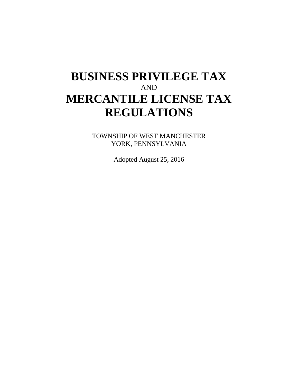# **BUSINESS PRIVILEGE TAX** AND **MERCANTILE LICENSE TAX REGULATIONS**

TOWNSHIP OF WEST MANCHESTER YORK, PENNSYLVANIA

Adopted August 25, 2016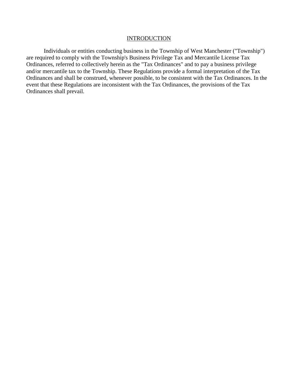#### **INTRODUCTION**

Individuals or entities conducting business in the Township of West Manchester ("Township") are required to comply with the Township's Business Privilege Tax and Mercantile License Tax Ordinances, referred to collectively herein as the "Tax Ordinances" and to pay a business privilege and/or mercantile tax to the Township. These Regulations provide a formal interpretation of the Tax Ordinances and shall be construed, whenever possible, to be consistent with the Tax Ordinances. In the event that these Regulations are inconsistent with the Tax Ordinances, the provisions of the Tax Ordinances shall prevail.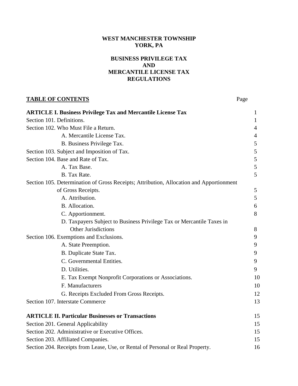## **WEST MANCHESTER TOWNSHIP YORK, PA**

#### **BUSINESS PRIVILEGE TAX AND MERCANTILE LICENSE TAX REGULATIONS**

## **TABLE OF CONTENTS** Page

| $\mathbf{I}$ |
|--------------|
| 4            |
| 4            |
| 5            |
| 5            |
| 5            |
| 5            |
| 5            |
|              |
| 5            |
| 5            |
| 6            |
| 8            |
|              |
| 8            |
| 9            |
| 9            |
| 9            |
| 9            |
| 9            |
| 10           |
| 10           |
| 12           |
| 13           |
| 15           |
| 15           |
| 15           |
|              |

Section 203. Affiliated Companies. 15 Section 204. Receipts from Lease, Use, or Rental of Personal or Real Property. 16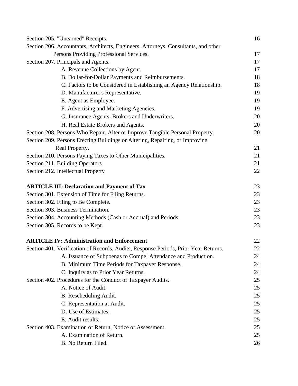| Section 205. "Unearned" Receipts.                                                   | 16 |
|-------------------------------------------------------------------------------------|----|
| Section 206. Accountants, Architects, Engineers, Attorneys, Consultants, and other  |    |
| Persons Providing Professional Services.                                            | 17 |
| Section 207. Principals and Agents.                                                 | 17 |
| A. Revenue Collections by Agent.                                                    | 17 |
| B. Dollar-for-Dollar Payments and Reimbursements.                                   | 18 |
| C. Factors to be Considered in Establishing an Agency Relationship.                 | 18 |
| D. Manufacturer's Representative.                                                   | 19 |
| E. Agent as Employee.                                                               | 19 |
| F. Advertising and Marketing Agencies.                                              | 19 |
| G. Insurance Agents, Brokers and Underwriters.                                      | 20 |
| H. Real Estate Brokers and Agents.                                                  | 20 |
| Section 208. Persons Who Repair, Alter or Improve Tangible Personal Property.       | 20 |
| Section 209. Persons Erecting Buildings or Altering, Repairing, or Improving        |    |
| Real Property.                                                                      | 21 |
| Section 210. Persons Paying Taxes to Other Municipalities.                          | 21 |
| Section 211. Building Operators                                                     | 21 |
| Section 212. Intellectual Property                                                  | 22 |
| <b>ARTICLE III: Declaration and Payment of Tax</b>                                  | 23 |
| Section 301. Extension of Time for Filing Returns.                                  | 23 |
| Section 302. Filing to Be Complete.                                                 | 23 |
| Section 303. Business Termination.                                                  | 23 |
| Section 304. Accounting Methods (Cash or Accrual) and Periods.                      | 23 |
| Section 305. Records to be Kept.                                                    | 23 |
| <b>ARTICLE IV: Administration and Enforcement</b>                                   | 22 |
| Section 401. Verification of Records, Audits, Response Periods, Prior Year Returns. | 22 |
| A. Issuance of Subpoenas to Compel Attendance and Production.                       | 24 |
| B. Minimum Time Periods for Taxpayer Response.                                      | 24 |
| C. Inquiry as to Prior Year Returns.                                                | 24 |
| Section 402. Procedures for the Conduct of Taxpayer Audits.                         | 25 |
| A. Notice of Audit.                                                                 | 25 |
| B. Rescheduling Audit.                                                              | 25 |
| C. Representation at Audit.                                                         | 25 |
| D. Use of Estimates.                                                                | 25 |
| E. Audit results.                                                                   | 25 |
| Section 403. Examination of Return, Notice of Assessment.                           | 25 |
| A. Examination of Return.                                                           | 25 |
| B. No Return Filed.                                                                 | 26 |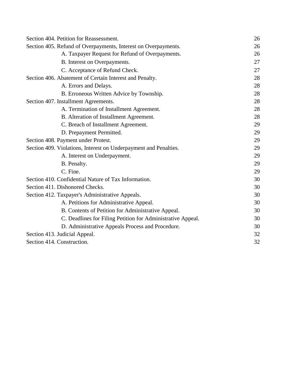| Section 404. Petition for Reassessment.                          | 26 |
|------------------------------------------------------------------|----|
| Section 405. Refund of Overpayments, Interest on Overpayments.   | 26 |
| A. Taxpayer Request for Refund of Overpayments.                  | 26 |
| B. Interest on Overpayments.                                     | 27 |
| C. Acceptance of Refund Check.                                   | 27 |
| Section 406. Abatement of Certain Interest and Penalty.          | 28 |
| A. Errors and Delays.                                            | 28 |
| B. Erroneous Written Advice by Township.                         | 28 |
| Section 407. Installment Agreements.                             | 28 |
| A. Termination of Installment Agreement.                         | 28 |
| B. Alteration of Installment Agreement.                          | 28 |
| C. Breach of Installment Agreement.                              | 29 |
| D. Prepayment Permitted.                                         | 29 |
| Section 408. Payment under Protest.                              | 29 |
| Section 409. Violations, Interest on Underpayment and Penalties. | 29 |
| A. Interest on Underpayment.                                     | 29 |
| B. Penalty.                                                      | 29 |
| C. Fine.                                                         | 29 |
| Section 410. Confidential Nature of Tax Information.             | 30 |
| Section 411. Dishonored Checks.                                  | 30 |
| Section 412. Taxpayer's Administrative Appeals.                  | 30 |
| A. Petitions for Administrative Appeal.                          | 30 |
| B. Contents of Petition for Administrative Appeal.               | 30 |
| C. Deadlines for Filing Petition for Administrative Appeal.      | 30 |
| D. Administrative Appeals Process and Procedure.                 | 30 |
| Section 413. Judicial Appeal.                                    | 32 |
| Section 414. Construction.                                       | 32 |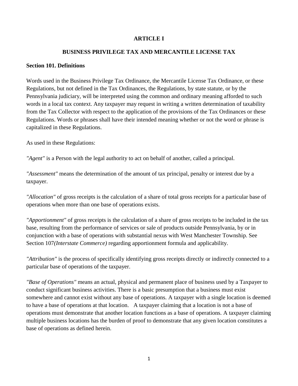#### **ARTICLE I**

#### **BUSINESS PRIVILEGE TAX AND MERCANTILE LICENSE TAX**

#### **Section 101. Definitions**

Words used in the Business Privilege Tax Ordinance, the Mercantile License Tax Ordinance, or these Regulations, but not defined in the Tax Ordinances, the Regulations, by state statute, or by the Pennsylvania judiciary, will be interpreted using the common and ordinary meaning afforded to such words in a local tax context. Any taxpayer may request in writing a written determination of taxability from the Tax Collector with respect to the application of the provisions of the Tax Ordinances or these Regulations. Words or phrases shall have their intended meaning whether or not the word or phrase is capitalized in these Regulations.

As used in these Regulations:

*"Agent"* is a Person with the legal authority to act on behalf of another, called a principal.

*"Assessment"* means the determination of the amount of tax principal, penalty or interest due by a taxpayer.

*"Allocation"* of gross receipts is the calculation of a share of total gross receipts for a particular base of operations when more than one base of operations exists.

*"Apportionment"* of gross receipts is the calculation of a share of gross receipts to be included in the tax base, resulting from the performance of services or sale of products outside Pennsylvania, by or in conjunction with a base of operations with substantial nexus with West Manchester Township. See Section 107*(Interstate Commerce)* regarding apportionment formula and applicability.

*"Attribution"* is the process of specifically identifying gross receipts directly or indirectly connected to a particular base of operations of the taxpayer.

*"Base of Operations"* means an actual, physical and permanent place of business used by a Taxpayer to conduct significant business activities. There is a basic presumption that a business must exist somewhere and cannot exist without any base of operations. A taxpayer with a single location is deemed to have a base of operations at that location. A taxpayer claiming that a location is not a base of operations must demonstrate that another location functions as a base of operations. A taxpayer claiming multiple business locations has the burden of proof to demonstrate that any given location constitutes a base of operations as defined herein.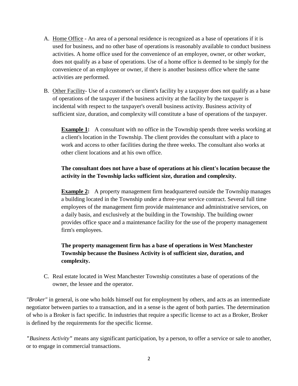- A. Home Office An area of a personal residence is recognized as a base of operations if it is used for business, and no other base of operations is reasonably available to conduct business activities. A home office used for the convenience of an employee, owner, or other worker, does not qualify as a base of operations. Use of a home office is deemed to be simply for the convenience of an employee or owner, if there is another business office where the same activities are performed.
- B. Other Facility- Use of a customer's or client's facility by a taxpayer does not qualify as a base of operations of the taxpayer if the business activity at the facility by the taxpayer is incidental with respect to the taxpayer's overall business activity. Business activity of sufficient size, duration, and complexity will constitute a base of operations of the taxpayer.

**Example 1:** A consultant with no office in the Township spends three weeks working at a client's location in the Township. The client provides the consultant with a place to work and access to other facilities during the three weeks. The consultant also works at other client locations and at his own office.

## **The consultant does not have a base of operations at his client's location because the activity in the Township lacks sufficient size, duration and complexity.**

**Example 2:** A property management firm headquartered outside the Township manages a building located in the Township under a three-year service contract. Several full time employees of the management firm provide maintenance and administrative services, on a daily basis, and exclusively at the building in the Township. The building owner provides office space and a maintenance facility for the use of the property management firm's employees.

## **The property management firm has a base of operations in West Manchester Township because the Business Activity is of sufficient size, duration, and complexity.**

C. Real estate located in West Manchester Township constitutes a base of operations of the owner, the lessee and the operator.

*"Broker"* in general, is one who holds himself out for employment by others, and acts as an intermediate negotiator between parties to a transaction, and in a sense is the agent of both parties. The determination of who is a Broker is fact specific. In industries that require a specific license to act as a Broker, Broker is defined by the requirements for the specific license.

*"Business Activity"* means any significant participation, by a person, to offer a service or sale to another, or to engage in commercial transactions.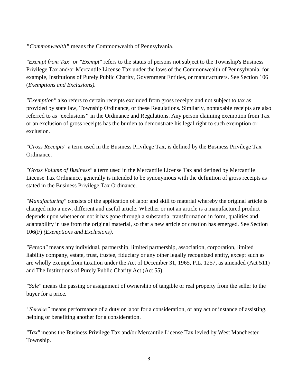*"Commonwealth"* means the Commonwealth of Pennsylvania.

*"Exempt from Tax" or "Exempt"* refers to the status of persons not subject to the Township's Business Privilege Tax and/or Mercantile License Tax under the laws of the Commonwealth of Pennsylvania, for example, Institutions of Purely Public Charity, Government Entities, or manufacturers. See Section 106 (*Exemptions and Exclusions).*

*"Exemption"* also refers to certain receipts excluded from gross receipts and not subject to tax as provided by state law, Township Ordinance, or these Regulations. Similarly, nontaxable receipts are also referred to as "exclusions**"** in the Ordinance and Regulations. Any person claiming exemption from Tax or an exclusion of gross receipts has the burden to demonstrate his legal right to such exemption or exclusion.

*"Gross Receipts"* a term used in the Business Privilege Tax, is defined by the Business Privilege Tax Ordinance.

*"Gross Volume of Business"* a term used in the Mercantile License Tax and defined by Mercantile License Tax Ordinance, generally is intended to be synonymous with the definition of gross receipts as stated in the Business Privilege Tax Ordinance.

*"Manufacturing"* consists of the application of labor and skill to material whereby the original article is changed into a new, different and useful article. Whether or not an article is a manufactured product depends upon whether or not it has gone through a substantial transformation in form, qualities and adaptability in use from the original material, so that a new article or creation has emerged. See Section 106(F) *(Exemptions and Exclusions)*.

*"Person"* means any individual, partnership, limited partnership, association, corporation, limited liability company, estate, trust, trustee, fiduciary or any other legally recognized entity, except such as are wholly exempt from taxation under the Act of December 31, 1965, P.L. 1257, as amended (Act 511) and The Institutions of Purely Public Charity Act (Act 55).

*"Sale"* means the passing or assignment of ownership of tangible or real property from the seller to the buyer for a price.

*"Service"* means performance of a duty or labor for a consideration, or any act or instance of assisting, helping or benefiting another for a consideration.

*"Tax"* means the Business Privilege Tax and/or Mercantile License Tax levied by West Manchester Township.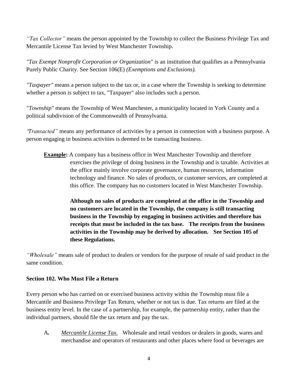*"Tax Collector"* means the person appointed by the Township to collect the Business Privilege Tax and Mercantile License Tax levied by West Manchester Township.

*"Tax Exempt Nonprofit Corporation or Organization"* is an institution that qualifies as a Pennsylvania Purely Public Charity. See Section 106(E) *(Exemptions and Exclusions).*

*"Taxpayer"* means a person subject to the tax or, in a case where the Township is seeking to determine whether a person is subject to tax, "Taxpayer" also includes such a person.

*"Township"* means the Township of West Manchester, a municipality located in York County and a political subdivision of the Commonwealth of Pennsylvania.

"*Transacted"* means any performance of activities by a person in connection with a business purpose. A person engaging in business activities is deemed to be transacting business.

**Example:** A company has a business office in West Manchester Township and therefore exercises the privilege of doing business in the Township and is taxable. Activities at the office mainly involve corporate governance, human resources, information technology and finance. No sales of products, or customer services, are completed at this office. The company has no customers located in West Manchester Township.

> **Although no sales of products are completed at the office in the Township and no customers are located in the Township, the company is still transacting business in the Township by engaging in business activities and therefore has receipts that must be included in the tax base. The receipts from the business activities in the Township may be derived by allocation. See Section 105 of these Regulations.**

*"Wholesale"* means sale of product to dealers or vendors for the purpose of resale of said product in the same condition.

## **Section 102. Who Must File a Return**

Every person who has carried on or exercised business activity within the Township must file a Mercantile and Business Privilege Tax Return, whether or not tax is due. Tax returns are filed at the business entity level. In the case of a partnership, for example, the partnership entity, rather than the individual partners, should file the tax return and pay the tax.

A*. Mercantile License Tax.* Wholesale and retail vendors or dealers in goods, wares and merchandise and operators of restaurants and other places where food or beverages are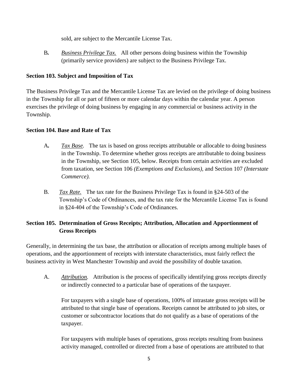sold, are subject to the Mercantile License Tax.

B*. Business Privilege Tax.* All other persons doing business within the Township (primarily service providers) are subject to the Business Privilege Tax.

## **Section 103. Subject and Imposition of Tax**

The Business Privilege Tax and the Mercantile License Tax are levied on the privilege of doing business in the Township for all or part of fifteen or more calendar days within the calendar year. A person exercises the privilege of doing business by engaging in any commercial or business activity in the Township.

## **Section 104. Base and Rate of Tax**

- A*. Tax Base.* The tax is based on gross receipts attributable or allocable to doing business in the Township. To determine whether gross receipts are attributable to doing business in the Township, see Section 105, below. Receipts from certain activities are excluded from taxation, see Section 106 *(Exemptions and Exclusions),* and Section 107 *(Interstate Commerce).*
- B*. Tax Rate.* The tax rate for the Business Privilege Tax is found in §24-503 of the Township's Code of Ordinances, and the tax rate for the Mercantile License Tax is found in §24-404 of the Township's Code of Ordinances.

# **Section 105. Determination of Gross Receipts; Attribution, Allocation and Apportionment of Gross Receipts**

Generally, in determining the tax base, the attribution or allocation of receipts among multiple bases of operations, and the apportionment of receipts with interstate characteristics, must fairly reflect the business activity in West Manchester Township and avoid the possibility of double taxation.

A. *Attribution.* Attribution is the process of specifically identifying gross receipts directly or indirectly connected to a particular base of operations of the taxpayer.

For taxpayers with a single base of operations, 100% of intrastate gross receipts will be attributed to that single base of operations. Receipts cannot be attributed to job sites, or customer or subcontractor locations that do not qualify as a base of operations of the taxpayer.

For taxpayers with multiple bases of operations, gross receipts resulting from business activity managed, controlled or directed from a base of operations are attributed to that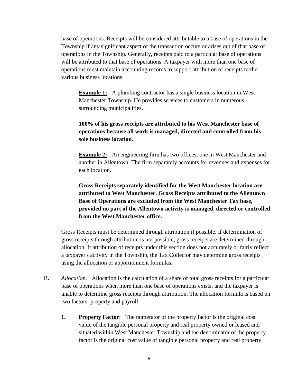base of operations. Receipts will be considered attributable to a base of operations in the Township if any significant aspect of the transaction occurs or arises out of that base of operations in the Township. Generally, receipts paid to a particular base of operations will be attributed to that base of operations. A taxpayer with more than one base of operations must maintain accounting records to support attribution of receipts to the various business locations.

**Example 1:** A plumbing contractor has a single business location in West Manchester Township. He provides services to customers in numerous surrounding municipalities.

## **100% of his gross receipts are attributed to his West Manchester base of operations because all work is managed, directed and controlled from his sole business location.**

**Example 2:** An engineering firm has two offices; one in West Manchester and another in Allentown. The firm separately accounts for revenues and expenses for each location.

**Gross Receipts separately identified for the West Manchester location are attributed to West Manchester. Gross Receipts attributed to the Allentown Base of Operations are excluded from the West Manchester Tax base, provided no part of the Allentown activity is managed, directed or controlled from the West Manchester office.**

Gross Receipts must be determined through attribution if possible. If determination of gross receipts through attribution is not possible, gross receipts are determined through allocation. If attribution of receipts under this section does not accurately or fairly reflect a taxpayer's activity in the Township, the Tax Collector may determine gross receipts using the allocation or apportionment formulas.

- B**.** *Allocation.* Allocation is the calculation of a share of total gross receipts for a particular base of operations when more than one base of operations exists, and the taxpayer is unable to determine gross receipts through attribution. The allocation formula is based on two factors: property and payroll.
	- **1. Property Factor**: The numerator of the property factor is the original cost value of the tangible personal property and real property owned or leased and situated within West Manchester Township and the denominator of the property factor is the original cost value of tangible personal property and real property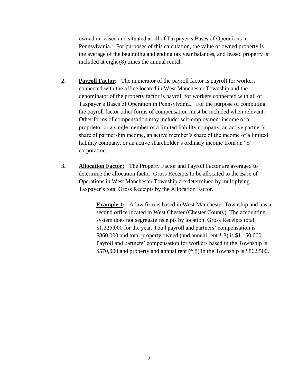owned or leased and situated at all of Taxpayer's Bases of Operations in Pennsylvania. For purposes of this calculation, the value of owned property is the average of the beginning and ending tax year balances, and leased property is included at eight (8) times the annual rental.

- **2. Payroll Factor**: The numerator of the payroll factor is payroll for workers connected with the office located in West Manchester Township and the denominator of the property factor is payroll for workers connected with all of Taxpayer's Bases of Operation in Pennsylvania. For the purpose of computing the payroll factor other forms of compensation must be included when relevant. Other forms of compensation may include: self-employment income of a proprietor or a single member of a limited liability company, an active partner's share of partnership income, an active member's share of the income of a limited liability company, or an active shareholder's ordinary income from an "S" corporation.
- **3. Allocation Factor:** The Property Factor and Payroll Factor are averaged to determine the allocation factor. Gross Receipts to be allocated to the Base of Operations in West Manchester Township are determined by multiplying Taxpayer's total Gross Receipts by the Allocation Factor.

**Example 1:** A law firm is based in West Manchester Township and has a second office located in West Chester (Chester County). The accounting system does not segregate receipts by location. Gross Receipts total \$1,225,000 for the year. Total payroll and partners' compensation is \$860,000 and total property owned (and annual rent \* 8) is \$1,150,000. Payroll and partners' compensation for workers based in the Township is \$570,000 and property and annual rent (\* 8) in the Township is \$862,500.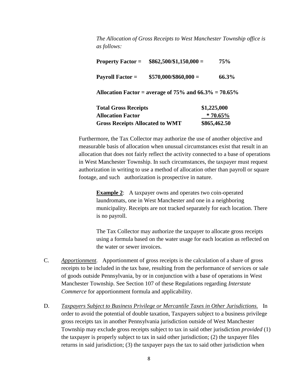*The Allocation of Gross Receipts to West Manchester Township office is as follows:*

| <b>Property Factor =</b>                                 | $$862,500/\$1,150,000 =$ | 75%          |  |  |
|----------------------------------------------------------|--------------------------|--------------|--|--|
| <b>Payroll Factor =</b>                                  | $$570,000$ /\$860,000 =  | 66.3%        |  |  |
| Allocation Factor = average of 75% and $66.3\%$ = 70.65% |                          |              |  |  |
| <b>Total Gross Receipts</b>                              |                          | \$1,225,000  |  |  |
| <b>Allocation Factor</b>                                 |                          | $*70.65\%$   |  |  |
| <b>Gross Receipts Allocated to WMT</b>                   |                          | \$865,462.50 |  |  |

Furthermore, the Tax Collector may authorize the use of another objective and measurable basis of allocation when unusual circumstances exist that result in an allocation that does not fairly reflect the activity connected to a base of operations in West Manchester Township. In such circumstances, the taxpayer must request authorization in writing to use a method of allocation other than payroll or square footage, and such authorization is prospective in nature.

**Example 2:** A taxpayer owns and operates two coin-operated laundromats, one in West Manchester and one in a neighboring municipality. Receipts are not tracked separately for each location. There is no payroll.

The Tax Collector may authorize the taxpayer to allocate gross receipts using a formula based on the water usage for each location as reflected on the water or sewer invoices.

- C. *Apportionment.* Apportionment of gross receipts is the calculation of a share of gross receipts to be included in the tax base, resulting from the performance of services or sale of goods outside Pennsylvania, by or in conjunction with a base of operations in West Manchester Township. See Section 107 of these Regulations regarding *Interstate Commerce* for apportionment formula and applicability.
- D. *Taxpayers Subject to Business Privilege or Mercantile Taxes in Other Jurisdictions.* In order to avoid the potential of double taxation, Taxpayers subject to a business privilege gross receipts tax in another Pennsylvania jurisdiction outside of West Manchester Township may exclude gross receipts subject to tax in said other jurisdiction *provided* (1) the taxpayer is properly subject to tax in said other jurisdiction; (2) the taxpayer files returns in said jurisdiction; (3) the taxpayer pays the tax to said other jurisdiction when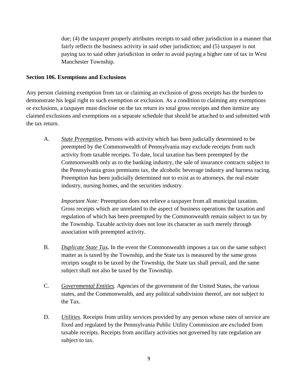due; (4) the taxpayer properly attributes receipts to said other jurisdiction in a manner that fairly reflects the business activity in said other jurisdiction; and (5) taxpayer is not paying tax to said other jurisdiction in order to avoid paying a higher rate of tax in West Manchester Township.

#### **Section 106. Exemptions and Exclusions**

Any person claiming exemption from tax or claiming an exclusion of gross receipts has the burden to demonstrate his legal right to such exemption or exclusion. As a condition to claiming any exemptions or exclusions, a taxpayer must disclose on the tax return its total gross receipts and then itemize any claimed exclusions and exemptions on a separate schedule that should be attached to and submitted with the tax return.

A. *State Preemption.* Persons with activity which has been judicially determined to be preempted by the Commonwealth of Pennsylvania may exclude receipts from such activity from taxable receipts. To date, local taxation has been preempted by the Commonwealth only as to the banking industry, the sale of insurance contracts subject to the Pennsylvania gross premiums tax, the alcoholic beverage industry and harness racing. Preemption has been judicially determined not to exist as to attorneys, the real estate industry, nursing homes, and the securities industry.

*Important Note:* Preemption does not relieve a taxpayer from all municipal taxation. Gross receipts which are unrelated to the aspect of business operations the taxation and regulation of which has been preempted by the Commonwealth remain subject to tax by the Township. Taxable activity does not lose its character as such merely through association with preempted activity.

- B*. Duplicate State Tax.* In the event the Commonwealth imposes a tax on the same subject matter as is taxed by the Township, and the State tax is measured by the same gross receipts sought to be taxed by the Township, the State tax shall prevail, and the same subject shall not also be taxed by the Township.
- C. *Governmental Entities.* Agencies of the government of the United States, the various states, and the Commonwealth, and any political subdivision thereof, are not subject to the Tax.
- D. *Utilities.* Receipts from utility services provided by any person whose rates of service are fixed and regulated by the Pennsylvania Public Utility Commission are excluded from taxable receipts. Receipts from ancillary activities not governed by rate regulation are subject to tax.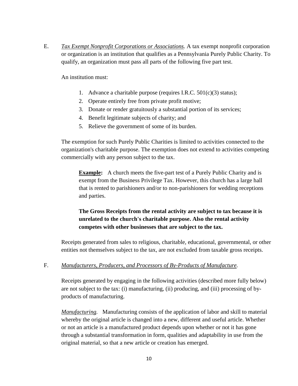E. *Tax Exempt Nonprofit Corporations or Associations.* A tax exempt nonprofit corporation or organization is an institution that qualifies as a Pennsylvania Purely Public Charity. To qualify, an organization must pass all parts of the following five part test.

An institution must:

- 1. Advance a charitable purpose (requires I.R.C. 501(c)(3) status);
- 2. Operate entirely free from private profit motive;
- 3. Donate or render gratuitously a substantial portion of its services;
- 4. Benefit legitimate subjects of charity; and
- 5. Relieve the government of some of its burden.

The exemption for such Purely Public Charities is limited to activities connected to the organization's charitable purpose. The exemption does not extend to activities competing commercially with any person subject to the tax.

**Example:** A church meets the five-part test of a Purely Public Charity and is exempt from the Business Privilege Tax. However, this church has a large hall that is rented to parishioners and/or to non-parishioners for wedding receptions and parties.

## **The Gross Receipts from the rental activity are subject to tax because it is unrelated to the church's charitable purpose. Also the rental activity competes with other businesses that are subject to the tax.**

Receipts generated from sales to religious, charitable, educational, governmental, or other entities not themselves subject to the tax, are not excluded from taxable gross receipts.

#### F. *Manufacturers, Producers, and Processors of By-Products of Manufacture.*

Receipts generated by engaging in the following activities (described more fully below) are not subject to the tax: (i) manufacturing, (ii) producing, and (iii) processing of byproducts of manufacturing.

*Manufacturing.* Manufacturing consists of the application of labor and skill to material whereby the original article is changed into a new, different and useful article. Whether or not an article is a manufactured product depends upon whether or not it has gone through a substantial transformation in form, qualities and adaptability in use from the original material, so that a new article or creation has emerged.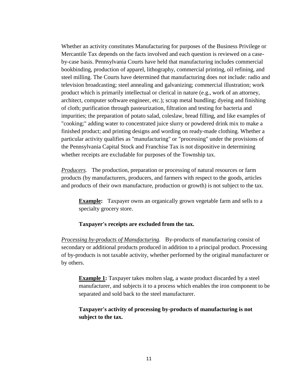Whether an activity constitutes Manufacturing for purposes of the Business Privilege or Mercantile Tax depends on the facts involved and each question is reviewed on a caseby-case basis. Pennsylvania Courts have held that manufacturing includes commercial bookbinding, production of apparel, lithography, commercial printing, oil refining, and steel milling. The Courts have determined that manufacturing does *not* include: radio and television broadcasting; steel annealing and galvanizing; commercial illustration; work product which is primarily intellectual or clerical in nature (e.g., work of an attorney, architect, computer software engineer, etc.); scrap metal bundling; dyeing and finishing of cloth; purification through pasteurization, filtration and testing for bacteria and impurities; the preparation of potato salad, coleslaw, bread filling, and like examples of "cooking;" adding water to concentrated juice slurry or powdered drink mix to make a finished product; and printing designs and wording on ready-made clothing. Whether a particular activity qualifies as "manufacturing" or "processing" under the provisions of the Pennsylvania Capital Stock and Franchise Tax is not dispositive in determining whether receipts are excludable for purposes of the Township tax.

*Producers.* The production, preparation or processing of natural resources or farm products (by manufacturers, producers, and farmers with respect to the goods, articles and products of their own manufacture, production or growth) is not subject to the tax.

**Example:** Taxpayer owns an organically grown vegetable farm and sells to a specialty grocery store.

#### **Taxpayer's receipts are excluded from the tax.**

*Processing by-products of Manufacturing.* By-products of manufacturing consist of secondary or additional products produced in addition to a principal product. Processing of by-products is not taxable activity, whether performed by the original manufacturer or by others.

**Example 1:** Taxpayer takes molten slag, a waste product discarded by a steel manufacturer, and subjects it to a process which enables the iron component to be separated and sold back to the steel manufacturer.

## **Taxpayer's activity of processing by-products of manufacturing is not subject to the tax.**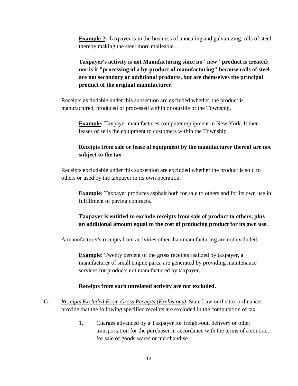**Example 2:** Taxpayer is in the business of annealing and galvanizing rolls of steel thereby making the steel more malleable.

**Taxpayer's activity is not Manufacturing since no "new" product is created; nor is it "processing of a by-product of manufacturing" because rolls of steel are not secondary or additional products, but are themselves the principal product of the original manufacturer.** 

Receipts excludable under this subsection are excluded whether the product is manufactured, produced or processed within or outside of the Township.

**Example:** Taxpayer manufactures computer equipment in New York. It then leases or sells the equipment to customers within the Township.

## **Receipts from sale or lease of equipment by the manufacturer thereof are not subject to the tax.**

Receipts excludable under this subsection are excluded whether the product is sold to others or used by the taxpayer in its own operation.

**Example:** Taxpayer produces asphalt both for sale to others and for its own use in fulfillment of paving contracts.

## **Taxpayer is entitled to exclude receipts from sale of product to others, plus an additional amount equal to the cost of producing product for its own use.**

A manufacturer's receipts from activities other than manufacturing are not excluded.

**Example:** Twenty percent of the gross receipts realized by taxpayer, a manufacturer of small engine parts, are generated by providing maintenance services for products not manufactured by taxpayer.

## **Receipts from such unrelated activity are not excluded.**

- G. *Receipts Excluded From Gross Receipts (Exclusions)*. State Law or the tax ordinances provide that the following specified receipts are excluded in the computation of tax.
	- 1. Charges advanced by a Taxpayer for freight-out, delivery or other transportation for the purchaser in accordance with the terms of a contract for sale of goods wares or merchandise.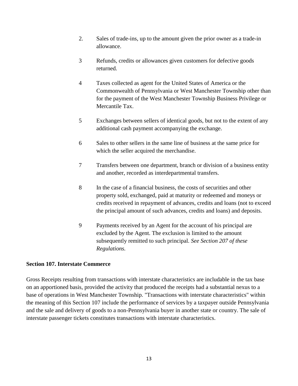- 2. Sales of trade-ins, up to the amount given the prior owner as a trade-in allowance.
- 3 Refunds, credits or allowances given customers for defective goods returned.
- 4 Taxes collected as agent for the United States of America or the Commonwealth of Pennsylvania or West Manchester Township other than for the payment of the West Manchester Township Business Privilege or Mercantile Tax.
- 5 Exchanges between sellers of identical goods, but not to the extent of any additional cash payment accompanying the exchange.
- 6 Sales to other sellers in the same line of business at the same price for which the seller acquired the merchandise.
- 7 Transfers between one department, branch or division of a business entity and another, recorded as interdepartmental transfers.
- 8 In the case of a financial business, the costs of securities and other property sold, exchanged, paid at maturity or redeemed and moneys or credits received in repayment of advances, credits and loans (not to exceed the principal amount of such advances, credits and loans) and deposits.
- 9 Payments received by an Agent for the account of his principal are excluded by the Agent. The exclusion is limited to the amount subsequently remitted to such principal. *See Section 207 of these Regulations.*

## **Section 107. Interstate Commerce**

Gross Receipts resulting from transactions with interstate characteristics are includable in the tax base on an apportioned basis, provided the activity that produced the receipts had a substantial nexus to a base of operations in West Manchester Township. "Transactions with interstate characteristics" within the meaning of this Section 107 include the performance of services by a taxpayer outside Pennsylvania and the sale and delivery of goods to a non-Pennsylvania buyer in another state or country. The sale of interstate passenger tickets constitutes transactions with interstate characteristics.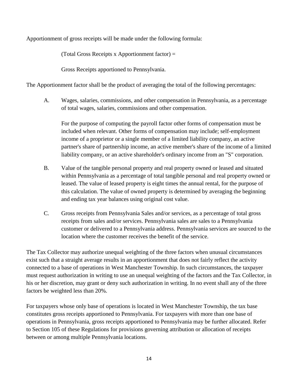Apportionment of gross receipts will be made under the following formula:

(Total Gross Receipts x Apportionment factor) =

Gross Receipts apportioned to Pennsylvania.

The Apportionment factor shall be the product of averaging the total of the following percentages:

A. Wages, salaries, commissions, and other compensation in Pennsylvania, as a percentage of total wages, salaries, commissions and other compensation.

For the purpose of computing the payroll factor other forms of compensation must be included when relevant. Other forms of compensation may include; self-employment income of a proprietor or a single member of a limited liability company, an active partner's share of partnership income, an active member's share of the income of a limited liability company, or an active shareholder's ordinary income from an "S" corporation.

- B. Value of the tangible personal property and real property owned or leased and situated within Pennsylvania as a percentage of total tangible personal and real property owned or leased. The value of leased property is eight times the annual rental, for the purpose of this calculation. The value of owned property is determined by averaging the beginning and ending tax year balances using original cost value.
- C. Gross receipts from Pennsylvania Sales and/or services, as a percentage of total gross receipts from sales and/or services. Pennsylvania sales are sales to a Pennsylvania customer or delivered to a Pennsylvania address. Pennsylvania services are sourced to the location where the customer receives the benefit of the service.

The Tax Collector may authorize unequal weighting of the three factors when unusual circumstances exist such that a straight average results in an apportionment that does not fairly reflect the activity connected to a base of operations in West Manchester Township. In such circumstances, the taxpayer must request authorization in writing to use an unequal weighting of the factors and the Tax Collector, in his or her discretion, may grant or deny such authorization in writing. In no event shall any of the three factors be weighted less than 20%.

For taxpayers whose only base of operations is located in West Manchester Township, the tax base constitutes gross receipts apportioned to Pennsylvania. For taxpayers with more than one base of operations in Pennsylvania, gross receipts apportioned to Pennsylvania may be further allocated. Refer to Section 105 of these Regulations for provisions governing attribution or allocation of receipts between or among multiple Pennsylvania locations.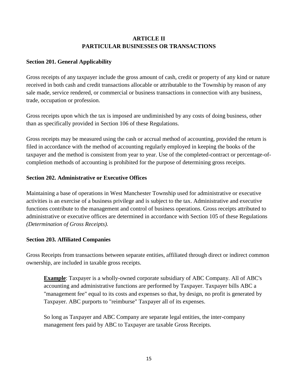## **ARTICLE II PARTICULAR BUSINESSES OR TRANSACTIONS**

## **Section 201. General Applicability**

Gross receipts of any taxpayer include the gross amount of cash, credit or property of any kind or nature received in both cash and credit transactions allocable or attributable to the Township by reason of any sale made, service rendered, or commercial or business transactions in connection with any business, trade, occupation or profession.

Gross receipts upon which the tax is imposed are undiminished by any costs of doing business, other than as specifically provided in Section 106 of these Regulations.

Gross receipts may be measured using the cash or accrual method of accounting, provided the return is filed in accordance with the method of accounting regularly employed in keeping the books of the taxpayer and the method is consistent from year to year. Use of the completed-contract or percentage-ofcompletion methods of accounting is prohibited for the purpose of determining gross receipts.

#### **Section 202. Administrative or Executive Offices**

Maintaining a base of operations in West Manchester Township used for administrative or executive activities is an exercise of a business privilege and is subject to the tax. Administrative and executive functions contribute to the management and control of business operations. Gross receipts attributed to administrative or executive offices are determined in accordance with Section 105 of these Regulations *(Determination of Gross Receipts).*

#### **Section 203. Affiliated Companies**

Gross Receipts from transactions between separate entities, affiliated through direct or indirect common ownership, are included in taxable gross receipts.

**Example**: Taxpayer is a wholly-owned corporate subsidiary of ABC Company. All of ABC's accounting and administrative functions are performed by Taxpayer. Taxpayer bills ABC a "management fee" equal to its costs and expenses so that, by design, no profit is generated by Taxpayer. ABC purports to "reimburse" Taxpayer all of its expenses.

So long as Taxpayer and ABC Company are separate legal entities, the inter-company management fees paid by ABC to Taxpayer are taxable Gross Receipts.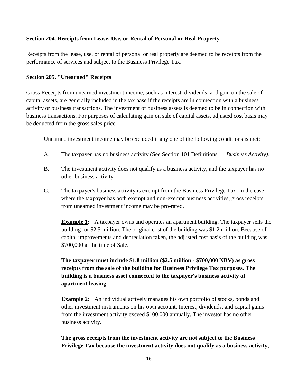#### **Section 204. Receipts from Lease, Use, or Rental of Personal or Real Property**

Receipts from the lease, use, or rental of personal or real property are deemed to be receipts from the performance of services and subject to the Business Privilege Tax.

#### **Section 205. "Unearned" Receipts**

Gross Receipts from unearned investment income, such as interest, dividends, and gain on the sale of capital assets, are generally included in the tax base if the receipts are in connection with a business activity or business transactions. The investment of business assets is deemed to be in connection with business transactions. For purposes of calculating gain on sale of capital assets, adjusted cost basis may be deducted from the gross sales price.

Unearned investment income may be excluded if any one of the following conditions is met:

- A. The taxpayer has no business activity (See Section 101 Definitions *Business Activity).*
- B. The investment activity does not qualify as a business activity, and the taxpayer has no other business activity.
- C. The taxpayer's business activity is exempt from the Business Privilege Tax. In the case where the taxpayer has both exempt and non-exempt business activities, gross receipts from unearned investment income may be pro-rated.

**Example 1:** A taxpayer owns and operates an apartment building. The taxpayer sells the building for \$2.5 million. The original cost of the building was \$1.2 million. Because of capital improvements and depreciation taken, the adjusted cost basis of the building was \$700,000 at the time of Sale.

**The taxpayer must include \$1.8 million (\$2.5 million - \$700,000 NBV) as gross receipts from the sale of the building for Business Privilege Tax purposes. The building is a business asset connected to the taxpayer's business activity of apartment leasing.** 

**Example 2:** An individual actively manages his own portfolio of stocks, bonds and other investment instruments on his own account. Interest, dividends, and capital gains from the investment activity exceed \$100,000 annually. The investor has no other business activity.

**The gross receipts from the investment activity are not subject to the Business Privilege Tax because the investment activity does not qualify as a business activity,**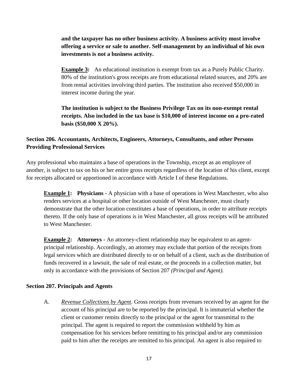## **and the taxpayer has no other business activity. A business activity must involve offering a service or sale to another. Self-management by an individual of his own investments is not a business activity.**

**Example 3:** An educational institution is exempt from tax as a Purely Public Charity. 80% of the institution's gross receipts are from educational related sources, and 20% are from rental activities involving third parties. The institution also received \$50,000 in interest income during the year.

**The institution is subject to the Business Privilege Tax on its non-exempt rental receipts. Also included in the tax base is \$10,000 of interest income on a pro-rated basis (\$50,000 X 20%).** 

## **Section 206. Accountants, Architects, Engineers, Attorneys, Consultants, and other Persons Providing Professional Services**

Any professional who maintains a base of operations in the Township, except as an employee of another, is subject to tax on his or her entire gross receipts regardless of the location of his client, except for receipts allocated or apportioned in accordance with Article I of these Regulations.

**Example 1: Physicians -** A physician with a base of operations in West Manchester, who also renders services at a hospital or other location outside of West Manchester, must clearly demonstrate that the other location constitutes a base of operations, in order to attribute receipts thereto. If the only base of operations is in West Manchester, all gross receipts will be attributed to West Manchester.

**Example 2:** Attorneys - An attorney-client relationship may be equivalent to an agentprincipal relationship. Accordingly, an attorney may exclude that portion of the receipts from legal services which are distributed directly to or on behalf of a client, such as the distribution of funds recovered in a lawsuit, the sale of real estate, or the proceeds in a collection matter, but only in accordance with the provisions of Section 207 *(Principal and Agent).*

## **Section 207. Principals and Agents**

A. *Revenue Collections by Agent.* Gross receipts from revenues received by an agent for the account of his principal are to be reported by the principal. It is immaterial whether the client or customer remits directly to the principal or the agent for transmittal to the principal. The agent is required to report the commission withheld by him as compensation for his services before remitting to his principal and/or any commission paid to him after the receipts are remitted to his principal. An agent is also required to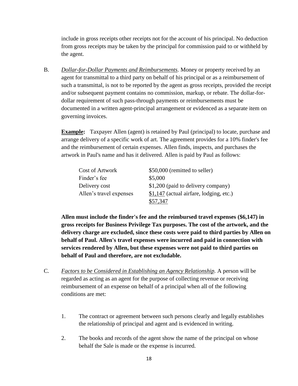include in gross receipts other receipts not for the account of his principal. No deduction from gross receipts may be taken by the principal for commission paid to or withheld by the agent.

B. *Dollar-for-Dollar Payments and Reimbursements.* Money or property received by an agent for transmittal to a third party on behalf of his principal or as a reimbursement of such a transmittal, is not to be reported by the agent as gross receipts, provided the receipt and/or subsequent payment contains no commission, markup, or rebate. The dollar-fordollar requirement of such pass-through payments or reimbursements must be documented in a written agent-principal arrangement or evidenced as a separate item on governing invoices.

**Example:** Taxpayer Allen (agent) is retained by Paul (principal) to locate, purchase and arrange delivery of a specific work of art. The agreement provides for a 10% finder's fee and the reimbursement of certain expenses. Allen finds, inspects, and purchases the artwork in Paul's name and has it delivered. Allen is paid by Paul as follows:

| <b>Cost of Artwork</b>  | \$50,000 (remitted to seller)            |
|-------------------------|------------------------------------------|
| Finder's fee            | \$5,000                                  |
| Delivery cost           | \$1,200 (paid to delivery company)       |
| Allen's travel expenses | $$1,147$ (actual airfare, lodging, etc.) |
|                         | \$57.347                                 |

**Allen must include the finder's fee and the reimbursed travel expenses (\$6,147) in gross receipts for Business Privilege Tax purposes. The cost of the artwork, and the delivery charge are excluded, since these costs were paid to third parties by Allen on behalf of Paul. Allen's travel expenses were incurred and paid in connection with services rendered by Allen, but these expenses were not paid to third parties on behalf of Paul and therefore, are not excludable.** 

- C. *Factors to be Considered in Establishing an Agency Relationship.* A person will be regarded as acting as an agent for the purpose of collecting revenue or receiving reimbursement of an expense on behalf of a principal when all of the following conditions are met:
	- 1. The contract or agreement between such persons clearly and legally establishes the relationship of principal and agent and is evidenced in writing.
	- 2. The books and records of the agent show the name of the principal on whose behalf the Sale is made or the expense is incurred.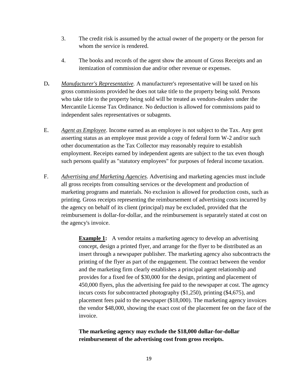- 3. The credit risk is assumed by the actual owner of the property or the person for whom the service is rendered.
- 4. The books and records of the agent show the amount of Gross Receipts and an itemization of commission due and/or other revenue or expenses.
- D**.** *Manufacturer's Representative.* A manufacturer's representative will be taxed on his gross commissions provided he does not take title to the property being sold. Persons who take title to the property being sold will be treated as vendors-dealers under the Mercantile License Tax Ordinance. No deduction is allowed for commissions paid to independent sales representatives or subagents.
- E. *Agent as Employee*. Income earned as an employee is not subject to the Tax. Any gent asserting status as an employee must provide a copy of federal form W-2 and/or such other documentation as the Tax Collector may reasonably require to establish employment. Receipts earned by independent agents are subject to the tax even though such persons qualify as "statutory employees" for purposes of federal income taxation.
- F. *Advertising and Marketing Agencies*. Advertising and marketing agencies must include all gross receipts from consulting services or the development and production of marketing programs and materials. No exclusion is allowed for production costs, such as printing. Gross receipts representing the reimbursement of advertising costs incurred by the agency on behalf of its client (principal) may be excluded, provided that the reimbursement is dollar-for-dollar, and the reimbursement is separately stated at cost on the agency's invoice.

**Example 1:** A vendor retains a marketing agency to develop an advertising concept, design a printed flyer, and arrange for the flyer to be distributed as an insert through a newspaper publisher. The marketing agency also subcontracts the printing of the flyer as part of the engagement. The contract between the vendor and the marketing firm clearly establishes a principal agent relationship and provides for a fixed fee of \$30,000 for the design, printing and placement of 450,000 flyers, plus the advertising fee paid to the newspaper at cost. The agency incurs costs for subcontracted photography (\$1,250), printing (\$4,675), and placement fees paid to the newspaper (\$18,000). The marketing agency invoices the vendor \$48,000, showing the exact cost of the placement fee on the face of the invoice.

**The marketing agency may exclude the \$18,000 dollar-for-dollar reimbursement of the advertising cost from gross receipts.**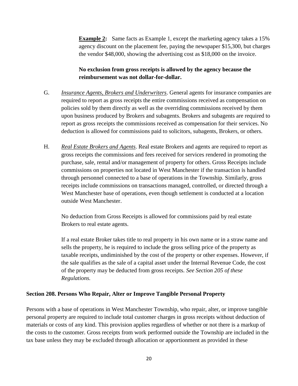**Example 2:** Same facts as Example 1, except the marketing agency takes a 15% agency discount on the placement fee, paying the newspaper \$15,300, but charges the vendor \$48,000, showing the advertising cost as \$18,000 on the invoice.

## **No exclusion from gross receipts is allowed by the agency because the reimbursement was not dollar-for-dollar.**

- G. *Insurance Agents, Brokers and Underwriters*. General agents for insurance companies are required to report as gross receipts the entire commissions received as compensation on policies sold by them directly as well as the overriding commissions received by them upon business produced by Brokers and subagents. Brokers and subagents are required to report as gross receipts the commissions received as compensation for their services. No deduction is allowed for commissions paid to solicitors, subagents, Brokers, or others.
- H. *Real Estate Brokers and Agents*. Real estate Brokers and agents are required to report as gross receipts the commissions and fees received for services rendered in promoting the purchase, sale, rental and/or management of property for others. Gross Receipts include commissions on properties not located in West Manchester if the transaction is handled through personnel connected to a base of operations in the Township. Similarly, gross receipts include commissions on transactions managed, controlled, or directed through a West Manchester base of operations, even though settlement is conducted at a location outside West Manchester.

No deduction from Gross Receipts is allowed for commissions paid by real estate Brokers to real estate agents.

If a real estate Broker takes title to real property in his own name or in a straw name and sells the property, he is required to include the gross selling price of the property as taxable receipts, undiminished by the cost of the property or other expenses. However, if the sale qualifies as the sale of a capital asset under the Internal Revenue Code, the cost of the property may be deducted from gross receipts. *See Section 205 of these Regulations.*

#### **Section 208. Persons Who Repair, Alter or Improve Tangible Personal Property**

Persons with a base of operations in West Manchester Township, who repair, alter, or improve tangible personal property are required to include total customer charges in gross receipts without deduction of materials or costs of any kind. This provision applies regardless of whether or not there is a markup of the costs to the customer. Gross receipts from work performed outside the Township are included in the tax base unless they may be excluded through allocation or apportionment as provided in these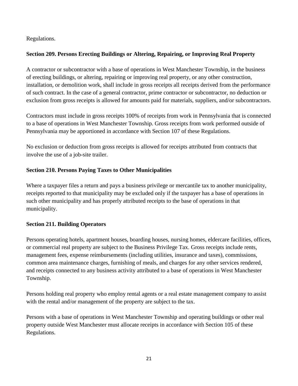Regulations.

## **Section 209. Persons Erecting Buildings or Altering, Repairing, or Improving Real Property**

A contractor or subcontractor with a base of operations in West Manchester Township, in the business of erecting buildings, or altering, repairing or improving real property, or any other construction, installation, or demolition work, shall include in gross receipts all receipts derived from the performance of such contract. In the case of a general contractor, prime contractor or subcontractor, no deduction or exclusion from gross receipts is allowed for amounts paid for materials, suppliers, and/or subcontractors.

Contractors must include in gross receipts 100% of receipts from work in Pennsylvania that is connected to a base of operations in West Manchester Township. Gross receipts from work performed outside of Pennsylvania may be apportioned in accordance with Section 107 of these Regulations.

No exclusion or deduction from gross receipts is allowed for receipts attributed from contracts that involve the use of a job-site trailer.

## **Section 210. Persons Paying Taxes to Other Municipalities**

Where a taxpayer files a return and pays a business privilege or mercantile tax to another municipality, receipts reported to that municipality may be excluded only if the taxpayer has a base of operations in such other municipality and has properly attributed receipts to the base of operations in that municipality.

## **Section 211. Building Operators**

Persons operating hotels, apartment houses, boarding houses, nursing homes, eldercare facilities, offices, or commercial real property are subject to the Business Privilege Tax. Gross receipts include rents, management fees, expense reimbursements (including utilities, insurance and taxes), commissions, common area maintenance charges, furnishing of meals, and charges for any other services rendered, and receipts connected to any business activity attributed to a base of operations in West Manchester Township.

Persons holding real property who employ rental agents or a real estate management company to assist with the rental and/or management of the property are subject to the tax.

Persons with a base of operations in West Manchester Township and operating buildings or other real property outside West Manchester must allocate receipts in accordance with Section 105 of these Regulations.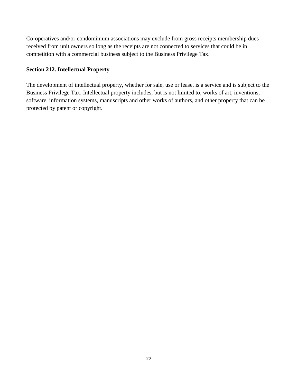Co-operatives and/or condominium associations may exclude from gross receipts membership dues received from unit owners so long as the receipts are not connected to services that could be in competition with a commercial business subject to the Business Privilege Tax.

## **Section 212. Intellectual Property**

The development of intellectual property, whether for sale, use or lease, is a service and is subject to the Business Privilege Tax. Intellectual property includes, but is not limited to, works of art, inventions, software, information systems, manuscripts and other works of authors, and other property that can be protected by patent or copyright.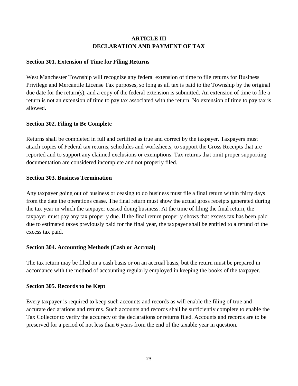## **ARTICLE III DECLARATION AND PAYMENT OF TAX**

#### **Section 301. Extension of Time for Filing Returns**

West Manchester Township will recognize any federal extension of time to file returns for Business Privilege and Mercantile License Tax purposes, so long as all tax is paid to the Township by the original due date for the return(s), and a copy of the federal extension is submitted. An extension of time to file a return is not an extension of time to pay tax associated with the return. No extension of time to pay tax is allowed.

#### **Section 302. Filing to Be Complete**

Returns shall be completed in full and certified as true and correct by the taxpayer. Taxpayers must attach copies of Federal tax returns, schedules and worksheets, to support the Gross Receipts that are reported and to support any claimed exclusions or exemptions. Tax returns that omit proper supporting documentation are considered incomplete and not properly filed.

#### **Section 303. Business Termination**

Any taxpayer going out of business or ceasing to do business must file a final return within thirty days from the date the operations cease. The final return must show the actual gross receipts generated during the tax year in which the taxpayer ceased doing business. At the time of filing the final return, the taxpayer must pay any tax properly due. If the final return properly shows that excess tax has been paid due to estimated taxes previously paid for the final year, the taxpayer shall be entitled to a refund of the excess tax paid.

## **Section 304. Accounting Methods (Cash or Accrual)**

The tax return may be filed on a cash basis or on an accrual basis, but the return must be prepared in accordance with the method of accounting regularly employed in keeping the books of the taxpayer.

#### **Section 305. Records to be Kept**

Every taxpayer is required to keep such accounts and records as will enable the filing of true and accurate declarations and returns. Such accounts and records shall be sufficiently complete to enable the Tax Collector to verify the accuracy of the declarations or returns filed. Accounts and records are to be preserved for a period of not less than 6 years from the end of the taxable year in question.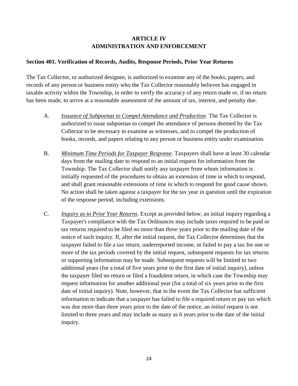## **ARTICLE IV ADMINISTRATION AND ENFORCEMENT**

#### **Section 401. Verification of Records, Audits, Response Periods, Prior Year Returns**

The Tax Collector, or authorized designee, is authorized to examine any of the books, papers, and records of any person or business entity who the Tax Collector reasonably believes has engaged in taxable activity within the Township, in order to verify the accuracy of any return made or, if no return has been made, to arrive at a reasonable assessment of the amount of tax, interest, and penalty due.

- A. *Issuance of Subpoenas to Compel Attendance and Production.* The Tax Collector is authorized to issue subpoenas to compel the attendance of persons deemed by the Tax Collector to be necessary to examine as witnesses, and to compel the production of books, records, and papers relating to any person or business entity under examination.
- B. *Minimum Time Periods for Taxpayer Response.* Taxpayers shall have at least 30 calendar days from the mailing date to respond to an initial request for information from the Township. The Tax Collector shall notify any taxpayer from whom information is initially requested of the procedures to obtain an extension of time in which to respond, and shall grant reasonable extensions of time in which to respond for good cause shown. No action shall be taken against a taxpayer for the tax year in question until the expiration of the response period, including extensions.
- C. *Inquiry as to Prior Year Returns.* Except as provided below, an initial inquiry regarding a Taxpayer's compliance with the Tax Ordinances may include taxes required to be paid or tax returns required to be filed no more than three years prior to the mailing date of the notice of such inquiry. If, after the initial request, the Tax Collector determines that the taxpayer failed to file a tax return, underreported income, or failed to pay a tax for one or more of the tax periods covered by the initial request, subsequent requests for tax returns or supporting information may be made. Subsequent requests will be limited to two additional years (for a total of five years prior to the first date of initial inquiry), unless the taxpayer filed no return or filed a fraudulent return, in which case the Township may request information for another additional year (for a total of six years prior to the first date of initial inquiry). Note, however, that in the event the Tax Collector has sufficient information to indicate that a taxpayer has failed to file a required return or pay tax which was due more than three years prior to the date of the notice, an *initial* request is not limited to three years and may include as many as 6 years prior to the date of the initial inquiry.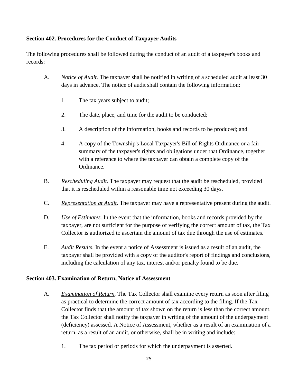## **Section 402. Procedures for the Conduct of Taxpayer Audits**

The following procedures shall be followed during the conduct of an audit of a taxpayer's books and records:

- A. *Notice of Audit.* The taxpayer shall be notified in writing of a scheduled audit at least 30 days in advance. The notice of audit shall contain the following information:
	- 1. The tax years subject to audit;
	- 2. The date, place, and time for the audit to be conducted;
	- 3. A description of the information, books and records to be produced; and
	- 4. A copy of the Township's Local Taxpayer's Bill of Rights Ordinance or a fair summary of the taxpayer's rights and obligations under that Ordinance, together with a reference to where the taxpayer can obtain a complete copy of the Ordinance.
- B. *Rescheduling Audit.* The taxpayer may request that the audit be rescheduled, provided that it is rescheduled within a reasonable time not exceeding 30 days.
- C. *Representation at Audit.* The taxpayer may have a representative present during the audit.
- D. *Use of Estimates.* In the event that the information, books and records provided by the taxpayer, are not sufficient for the purpose of verifying the correct amount of tax, the Tax Collector is authorized to ascertain the amount of tax due through the use of estimates.
- E. *Audit Results.* In the event a notice of Assessment is issued as a result of an audit, the taxpayer shall be provided with a copy of the auditor's report of findings and conclusions, including the calculation of any tax, interest and/or penalty found to be due.

## **Section 403. Examination of Return, Notice of Assessment**

- A. *Examination of Return.* The Tax Collector shall examine every return as soon after filing as practical to determine the correct amount of tax according to the filing. If the Tax Collector finds that the amount of tax shown on the return is less than the correct amount, the Tax Collector shall notify the taxpayer in writing of the amount of the underpayment (deficiency) assessed. A Notice of Assessment, whether as a result of an examination of a return, as a result of an audit, or otherwise, shall be in writing and include:
	- 1. The tax period or periods for which the underpayment is asserted.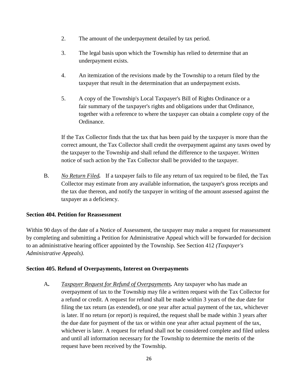- 2. The amount of the underpayment detailed by tax period.
- 3. The legal basis upon which the Township has relied to determine that an underpayment exists.
- 4. An itemization of the revisions made by the Township to a return filed by the taxpayer that result in the determination that an underpayment exists.
- 5. A copy of the Township's Local Taxpayer's Bill of Rights Ordinance or a fair summary of the taxpayer's rights and obligations under that Ordinance, together with a reference to where the taxpayer can obtain a complete copy of the Ordinance.

If the Tax Collector finds that the tax that has been paid by the taxpayer is more than the correct amount, the Tax Collector shall credit the overpayment against any taxes owed by the taxpayer to the Township and shall refund the difference to the taxpayer. Written notice of such action by the Tax Collector shall be provided to the taxpayer.

B. *No Return Filed.* If a taxpayer fails to file any return of tax required to be filed, the Tax Collector may estimate from any available information, the taxpayer's gross receipts and the tax due thereon, and notify the taxpayer in writing of the amount assessed against the taxpayer as a deficiency.

## **Section 404. Petition for Reassessment**

Within 90 days of the date of a Notice of Assessment, the taxpayer may make a request for reassessment by completing and submitting a Petition for Administrative Appeal which will be forwarded for decision to an administrative hearing officer appointed by the Township. See Section 412 *(Taxpayer's Administrative Appeals).*

## **Section 405. Refund of Overpayments, Interest on Overpayments**

A**.** *Taxpayer Request for Refund of Overpayments.* Any taxpayer who has made an overpayment of tax to the Township may file a written request with the Tax Collector for a refund or credit. A request for refund shall be made within 3 years of the due date for filing the tax return (as extended), or one year after actual payment of the tax, whichever is later. If no return (or report) is required, the request shall be made within 3 years after the due date for payment of the tax or within one year after actual payment of the tax, whichever is later. A request for refund shall not be considered complete and filed unless and until all information necessary for the Township to determine the merits of the request have been received by the Township.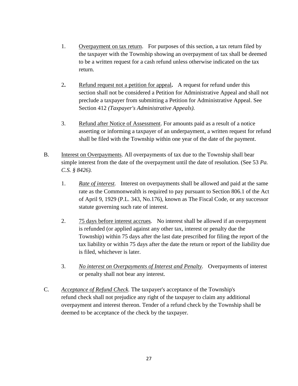- 1. Overpayment on tax return. For purposes of this section, a tax return filed by the taxpayer with the Township showing an overpayment of tax shall be deemed to be a written request for a cash refund unless otherwise indicated on the tax return.
- 2**.** Refund request not a petition for appeal**.** A request for refund under this section shall not be considered a Petition for Administrative Appeal and shall not preclude a taxpayer from submitting a Petition for Administrative Appeal. See Section 412 *(Taxpayer's Administrative Appeals).*
- 3. Refund after Notice of Assessment. For amounts paid as a result of a notice asserting or informing a taxpayer of an underpayment, a written request for refund shall be filed with the Township within one year of the date of the payment.
- B. Interest on Overpayments*.* All overpayments of tax due to the Township shall bear simple interest from the date of the overpayment until the date of resolution. (See 53 *Pa. C.S. § 8426).*
	- 1. *Rate of interest.* Interest on overpayments shall be allowed and paid at the same rate as the Commonwealth is required to pay pursuant to Section 806.1 of the Act of April 9, 1929 (P.L. 343, No.176), known as The Fiscal Code, or any successor statute governing such rate of interest.
	- 2. 75 days before interest accrues*.* No interest shall be allowed if an overpayment is refunded (or applied against any other tax, interest or penalty due the Township) within 75 days after the last date prescribed for filing the report of the tax liability or within 75 days after the date the return or report of the liability due is filed, whichever is later.
	- 3. *No interest on Overpayments of Interest and Penalty.* Overpayments of interest or penalty shall not bear any interest.
- C. *Acceptance of Refund Check.* The taxpayer's acceptance of the Township's refund check shall not prejudice any right of the taxpayer to claim any additional overpayment and interest thereon. Tender of a refund check by the Township shall be deemed to be acceptance of the check by the taxpayer.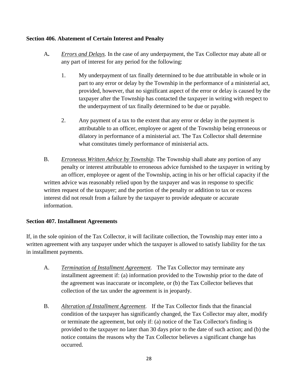## **Section 406. Abatement of Certain Interest and Penalty**

- A**.** *Errors and Delays.* In the case of any underpayment, the Tax Collector may abate all or any part of interest for any period for the following:
	- 1. My underpayment of tax finally determined to be due attributable in whole or in part to any error or delay by the Township in the performance of a ministerial act, provided, however, that no significant aspect of the error or delay is caused by the taxpayer after the Township has contacted the taxpayer in writing with respect to the underpayment of tax finally determined to be due or payable.
	- 2. Any payment of a tax to the extent that any error or delay in the payment is attributable to an officer, employee or agent of the Township being erroneous or dilatory in performance of a ministerial act. The Tax Collector shall determine what constitutes timely performance of ministerial acts.
- B. *Erroneous Written Advice by Township.* The Township shall abate any portion of any penalty or interest attributable to erroneous advice furnished to the taxpayer in writing by an officer, employee or agent of the Township, acting in his or her official capacity if the written advice was reasonably relied upon by the taxpayer and was in response to specific written request of the taxpayer; and the portion of the penalty or addition to tax or excess interest did not result from a failure by the taxpayer to provide adequate or accurate information.

## **Section 407. Installment Agreements**

If, in the sole opinion of the Tax Collector, it will facilitate collection, the Township may enter into a written agreement with any taxpayer under which the taxpayer is allowed to satisfy liability for the tax in installment payments.

- A. *Termination of Installment Agreement.* The Tax Collector may terminate any installment agreement if: (a) information provided to the Township prior to the date of the agreement was inaccurate or incomplete, or (b) the Tax Collector believes that collection of the tax under the agreement is in jeopardy.
- B. *Alteration of Installment Agreement.* If the Tax Collector finds that the financial condition of the taxpayer has significantly changed, the Tax Collector may alter, modify or terminate the agreement, but only if: (a) notice of the Tax Collector's finding is provided to the taxpayer no later than 30 days prior to the date of such action; and (b) the notice contains the reasons why the Tax Collector believes a significant change has occurred.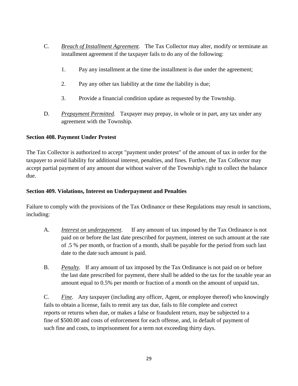- C. *Breach of Installment Agreement.* The Tax Collector may alter, modify or terminate an installment agreement if the taxpayer fails to do any of the following:
	- 1. Pay any installment at the time the installment is due under the agreement;
	- 2. Pay any other tax liability at the time the liability is due;
	- 3. Provide a financial condition update as requested by the Township.
- D. *Prepayment Permitted.* Taxpayer may prepay, in whole or in part, any tax under any agreement with the Township.

## **Section 408. Payment Under Protest**

The Tax Collector is authorized to accept "payment under protest" of the amount of tax in order for the taxpayer to avoid liability for additional interest, penalties, and fines. Further, the Tax Collector may accept partial payment of any amount due without waiver of the Township's right to collect the balance due.

#### **Section 409. Violations, Interest on Underpayment and Penalties**

Failure to comply with the provisions of the Tax Ordinance or these Regulations may result in sanctions, including:

- A. *Interest on underpayment.* If any amount of tax imposed by the Tax Ordinance is not paid on or before the last date prescribed for payment, interest on such amount at the rate of .5 % per month, or fraction of a month, shall be payable for the period from such last date to the date such amount is paid.
- B. *Penalty.* If any amount of tax imposed by the Tax Ordinance is not paid on or before the last date prescribed for payment, there shall be added to the tax for the taxable year an amount equal to 0.5% per month or fraction of a month on the amount of unpaid tax.

C. *Fine.* Any taxpayer (including any officer, Agent, or employee thereof) who knowingly fails to obtain a license, fails to remit any tax due, fails to file complete and correct reports or returns when due, or makes a false or fraudulent return, may be subjected to a fine of \$500.00 and costs of enforcement for each offense, and, in default of payment of such fine and costs, to imprisonment for a term not exceeding thirty days.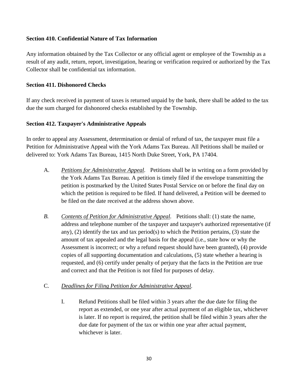#### **Section 410. Confidential Nature of Tax Information**

Any information obtained by the Tax Collector or any official agent or employee of the Township as a result of any audit, return, report, investigation, hearing or verification required or authorized by the Tax Collector shall be confidential tax information.

#### **Section 411. Dishonored Checks**

If any check received in payment of taxes is returned unpaid by the bank, there shall be added to the tax due the sum charged for dishonored checks established by the Township.

#### **Section 412. Taxpayer's Administrative Appeals**

In order to appeal any Assessment, determination or denial of refund of tax, the taxpayer must file a Petition for Administrative Appeal with the York Adams Tax Bureau. All Petitions shall be mailed or delivered to: York Adams Tax Bureau, 1415 North Duke Street, York, PA 17404.

- A. *Petitions for Administrative Appeal.* Petitions shall be in writing on a form provided by the York Adams Tax Bureau. A petition is timely filed if the envelope transmitting the petition is postmarked by the United States Postal Service on or before the final day on which the petition is required to be filed. If hand delivered, a Petition will be deemed to be filed on the date received at the address shown above.
- *B. Contents of Petition for Administrative Appeal.* Petitions shall: (1) state the name, address and telephone number of the taxpayer and taxpayer's authorized representative (if any), (2) identify the tax and tax period(s) to which the Petition pertains, (3) state the amount of tax appealed and the legal basis for the appeal (i.e., state how or why the Assessment is incorrect; or why a refund request should have been granted), (4) provide copies of all supporting documentation and calculations, (5) state whether a hearing is requested, and (6) certify under penalty of perjury that the facts in the Petition are true and correct and that the Petition is not filed for purposes of delay.

## C. *Deadlines for Filing Petition for Administrative Appeal.*

I. Refund Petitions shall be filed within 3 years after the due date for filing the report as extended, or one year after actual payment of an eligible tax, whichever is later. If no report is required, the petition shall be filed within 3 years after the due date for payment of the tax or within one year after actual payment, whichever is later.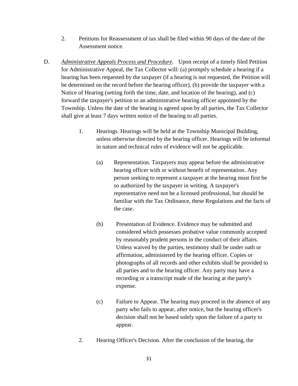- 2. Petitions for Reassessment of tax shall be filed within 90 days of the date of the Assessment notice.
- D. *Administrative Appeals Process and Procedure.* Upon receipt of a timely filed Petition for Administrative Appeal, the Tax Collector will: (a) promptly schedule a hearing if a hearing has been requested by the taxpayer (if a hearing is not requested, the Petition will be determined on the record before the hearing officer), (b) provide the taxpayer with a Notice of Hearing (setting forth the time, date, and location of the hearing), and (c) forward the taxpayer's petition to an administrative hearing officer appointed by the Township. Unless the date of the hearing is agreed upon by all parties, the Tax Collector shall give at least 7 days written notice of the hearing to all parties.
	- 1. Hearings. Hearings will be held at the Township Municipal Building, unless otherwise directed by the hearing officer. Hearings will be informal in nature and technical rules of evidence will not be applicable.
		- (a) Representation. Taxpayers may appear before the administrative hearing officer with or without benefit of representation. Any person seeking to represent a taxpayer at the hearing must first be so authorized by the taxpayer in writing. A taxpayer's representative need not be a licensed professional, but should be familiar with the Tax Ordinance, these Regulations and the facts of the case.
		- (b) Presentation of Evidence. Evidence may be submitted and considered which possesses probative value commonly accepted by reasonably prudent persons in the conduct of their affairs. Unless waived by the parties, testimony shall be under oath or affirmation, administered by the hearing officer. Copies or photographs of all records and other exhibits shall be provided to all parties and to the hearing officer. Any party may have a recording or a transcript made of the hearing at the party's expense.
		- (c) Failure to Appear. The hearing may proceed in the absence of any party who fails to appear, after notice, but the hearing officer's decision shall not be based solely upon the failure of a party to appear.
	- 2. Hearing Officer's Decision. After the conclusion of the hearing, the